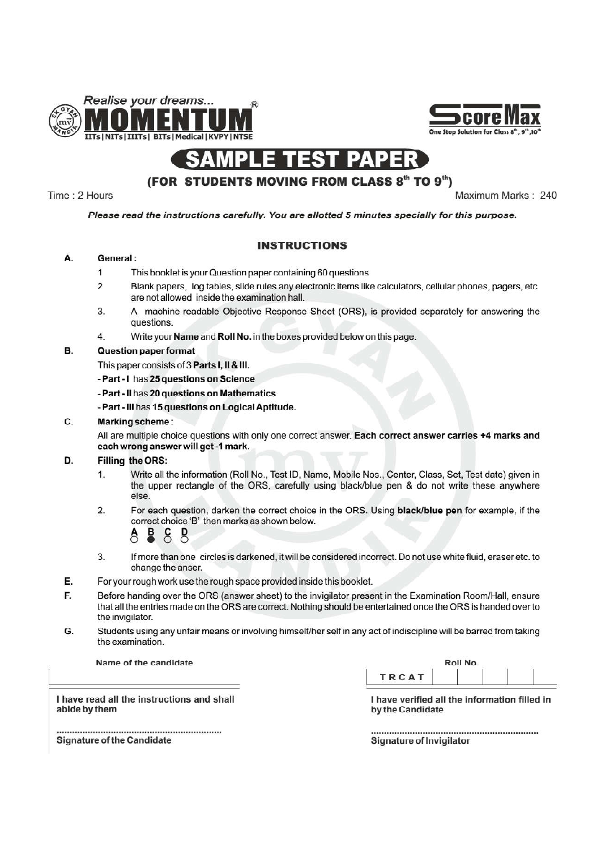



#### SAM **PAPER** PL Enest

## (FOR STUDENTS MOVING FROM CLASS 8<sup>th</sup> TO 9<sup>th</sup>)

Time: 2 Hours

Maximum Marks: 240

### Please read the instructions carefully. You are allotted 5 minutes specially for this purpose.

### **INSTRUCTIONS**

#### А. General:

- $\overline{1}$ This booklet is your Question paper containing 60 questions.
- $\overline{\phantom{a}}$ Blank papers, log tables, slide rules any electronic items like calculators, cellular phones, pagers, etc. are not allowed inside the examination hall.
- A machine-readable Objective Response Sheet (ORS), is provided separately for answering the 3. questions.
- $4.$ Write your Name and Roll No. in the boxes provided below on this page.

#### B. **Question paper format**

This paper consists of 3 Parts I, II & III.

- Part I has 25 questions on Science
- Part Il has 20 questions on Mathematics
- Part III has 15 questions on Logical Aptitude.

#### C. Marking scheme:

All are multiple choice questions with only one correct answer. Each correct answer carries +4 marks and each wrong answer will get -1 mark.

#### D. Filling the ORS:

- $\mathbf{1}$ Write all the information (Roll No., Test ID, Name, Mobile Nos., Center, Class, Set, Test date) given in the upper rectangle of the ORS, carefully using black/blue pen & do not write these anywhere else
- For each question, darken the correct choice in the ORS. Using black/blue pen for example, if the  $2.$ correct choice 'B' then marks as shown below.

### $\tilde{\mathsf{S}}$ **P**

- $\overline{3}$ . If more than one circles is darkened, it will be considered incorrect. Do not use white fluid, eraser etc. to change the anser.
- E. For your rough work use the rough space provided inside this booklet.
- Before handing over the ORS (answer sheet) to the invigilator present in the Examination Room/Hall, ensure F. that all the entries made on the ORS are correct. Nothing should be entertained once the ORS is handed over to the invigilator.
- Students using any unfair means or involving himself/her self in any act of indiscipline will be barred from taking G. the examination.

Name of the candidate

| Roll No. |  |  |  |  |  |  |  |
|----------|--|--|--|--|--|--|--|
|          |  |  |  |  |  |  |  |
|          |  |  |  |  |  |  |  |

I have read all the instructions and shall abide by them

I have verified all the information filled in by the Candidate

**Signature of Invigilator** 

Signature of the Candidate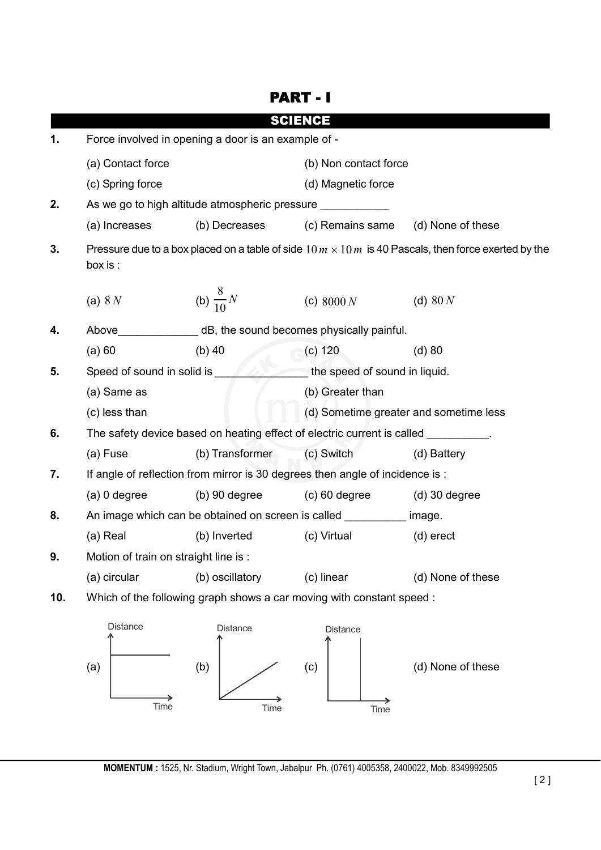|                                       |                                                                                                                        |                                                                                    | PART - I                               |                                        |  |
|---------------------------------------|------------------------------------------------------------------------------------------------------------------------|------------------------------------------------------------------------------------|----------------------------------------|----------------------------------------|--|
|                                       |                                                                                                                        |                                                                                    | <b>SCIENCE</b>                         |                                        |  |
| 1.                                    | Force involved in opening a door is an example of -                                                                    |                                                                                    |                                        |                                        |  |
|                                       | (a) Contact force                                                                                                      |                                                                                    | (b) Non contact force                  |                                        |  |
|                                       | (c) Spring force                                                                                                       |                                                                                    | (d) Magnetic force                     |                                        |  |
| 2.                                    |                                                                                                                        | As we go to high altitude atmospheric pressure __________                          |                                        |                                        |  |
|                                       | (a) Increases                                                                                                          |                                                                                    | (b) Decreases (c) Remains same         | (d) None of these                      |  |
| 3.                                    | Pressure due to a box placed on a table of side $10 m \times 10 m$ is 40 Pascals, then force exerted by the<br>box is: |                                                                                    |                                        |                                        |  |
|                                       | (a) $8N$                                                                                                               | (b) $\frac{8}{10}N$                                                                | (c) $8000 N$                           | (d) $80 N$                             |  |
| 4.                                    | Above                                                                                                                  | dB, the sound becomes physically painful.                                          |                                        |                                        |  |
|                                       | (a) 60                                                                                                                 | $(b)$ 40                                                                           | (c) 120                                | $(d)$ 80                               |  |
| Speed of sound in solid is ____<br>5. |                                                                                                                        |                                                                                    | $\equiv$ the speed of sound in liquid. |                                        |  |
|                                       | (a) Same as                                                                                                            |                                                                                    | (b) Greater than                       |                                        |  |
|                                       | (c) less than                                                                                                          |                                                                                    |                                        | (d) Sometime greater and sometime less |  |
| 6.                                    |                                                                                                                        | The safety device based on heating effect of electric current is called _________. |                                        |                                        |  |
|                                       | (a) Fuse                                                                                                               | (b) Transformer                                                                    | (c) Switch                             | (d) Battery                            |  |
| 7.                                    |                                                                                                                        | If angle of reflection from mirror is 30 degrees then angle of incidence is :      |                                        |                                        |  |
|                                       | $(a)$ 0 degree                                                                                                         | $(b)$ 90 degree                                                                    | $(c)$ 60 degree                        | $(d)$ 30 degree                        |  |
| 8.                                    | An image which can be obtained on screen is called __________ image.                                                   |                                                                                    |                                        |                                        |  |
|                                       | (a) Real                                                                                                               | (b) Inverted                                                                       | (c) Virtual                            | (d) erect                              |  |
| 9.                                    | Motion of train on straight line is :                                                                                  |                                                                                    |                                        |                                        |  |
|                                       | (a) circular                                                                                                           | (b) oscillatory                                                                    | (c) linear                             | (d) None of these                      |  |
| 10.                                   |                                                                                                                        | Which of the following graph shows a car moving with constant speed :              |                                        |                                        |  |
|                                       | Distance<br>(a)<br>Time                                                                                                | Distance<br>(b)<br>Time                                                            | Distance<br>(c)<br>Time                | (d) None of these                      |  |

 $\overrightarrow{Time}$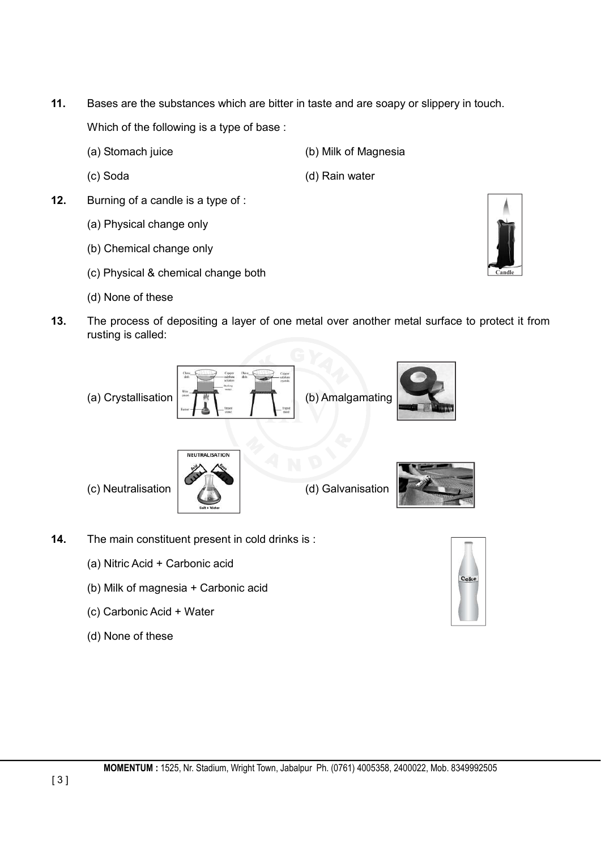**11.** Bases are the substances which are bitter in taste and are soapy or slippery in touch.

Which of the following is a type of base :

- (a) Stomach juice (b) Milk of Magnesia
- 
- **12.** Burning of a candle is a type of :
	- (a) Physical change only
	- (b) Chemical change only
	- (c) Physical & chemical change both
	- (d) None of these
- 
- (c) Soda (d) Rain water



**13.** The process of depositing a layer of one metal over another metal surface to protect it from rusting is called:







- **14.** The main constituent present in cold drinks is :
	- (a) Nitric Acid + Carbonic acid
	- (b) Milk of magnesia + Carbonic acid
	- (c) Carbonic Acid + Water
	- (d) None of these

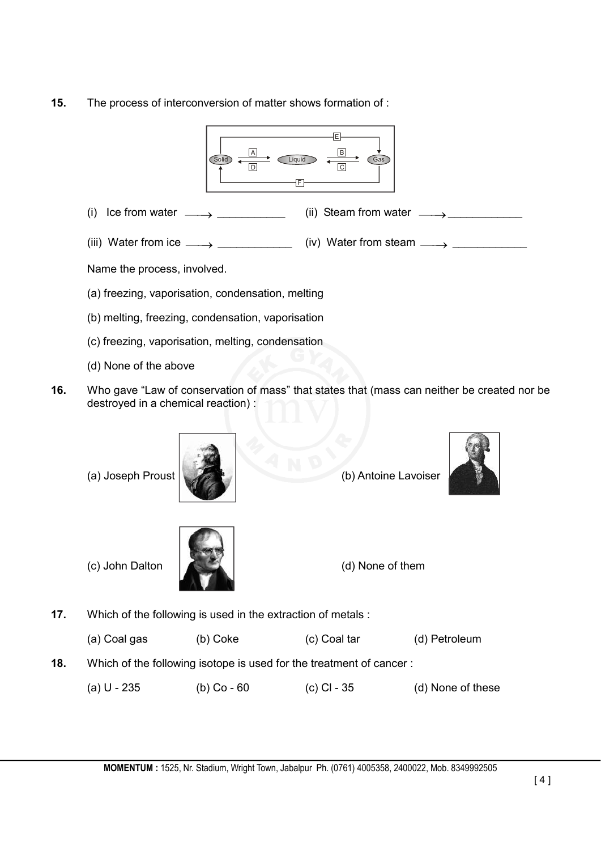**15.** The process of interconversion of matter shows formation of :



- (d) None of the above
- **16.** Who gave "Law of conservation of mass" that states that (mass can neither be created nor be destroyed in a chemical reaction) :



(a) Joseph Proust (b) Antoine Lavoiser





(c) John Dalton (d) None of them

**17.** Which of the following is used in the extraction of metals :

(a) Coal gas (b) Coke (c) Coal tar (d) Petroleum

- **18.** Which of the following isotope is used for the treatment of cancer :
	- (a) U 235 (b) Co 60 (c) Cl 35 (d) None of these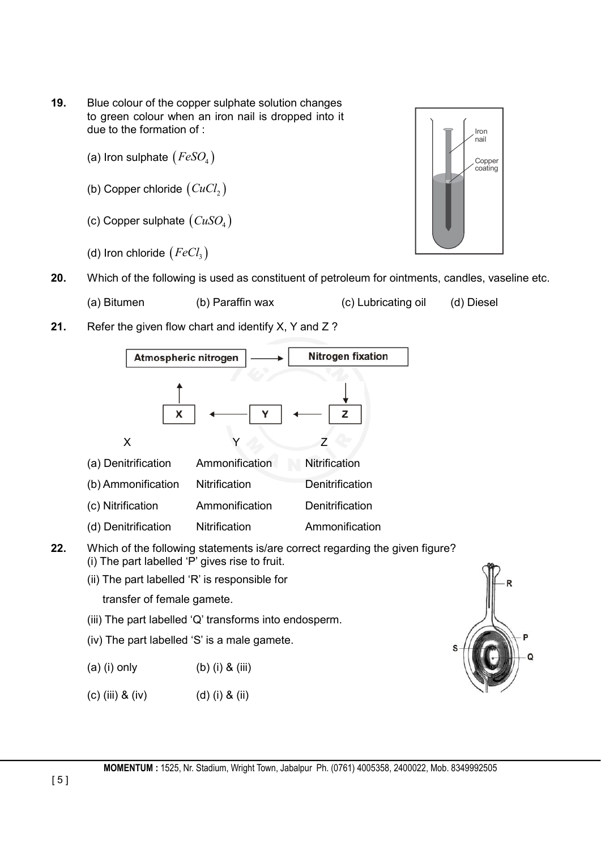- **19.** Blue colour of the copper sulphate solution changes to green colour when an iron nail is dropped into it due to the formation of :
	- (a) Iron sulphate  $(FeSO<sub>4</sub>)$
	- (b) Copper chloride  $(CuCl<sub>2</sub>)$
	- (c) Copper sulphate  $(CuSO<sub>4</sub>)$
	- (d) Iron chloride  $(FeCl<sub>3</sub>)$



- (a) Bitumen (b) Paraffin wax (c) Lubricating oil (d) Diesel
- **21.** Refer the given flow chart and identify X, Y and Z ?



- **22.** Which of the following statements is/are correct regarding the given figure? (i) The part labelled 'P' gives rise to fruit.
	- (ii) The part labelled 'R' is responsible for
		- transfer of female gamete.
	- (iii) The part labelled 'Q' transforms into endosperm.
	- (iv) The part labelled 'S' is a male gamete.
	- (a) (i) only (b) (i) & (iii)
	- (c) (iii) & (iv) (d) (i) & (ii)



**MOMENTUM :** 1525, Nr. Stadium, Wright Town, Jabalpur Ph. (0761) 4005358, 2400022, Mob. 8349992505

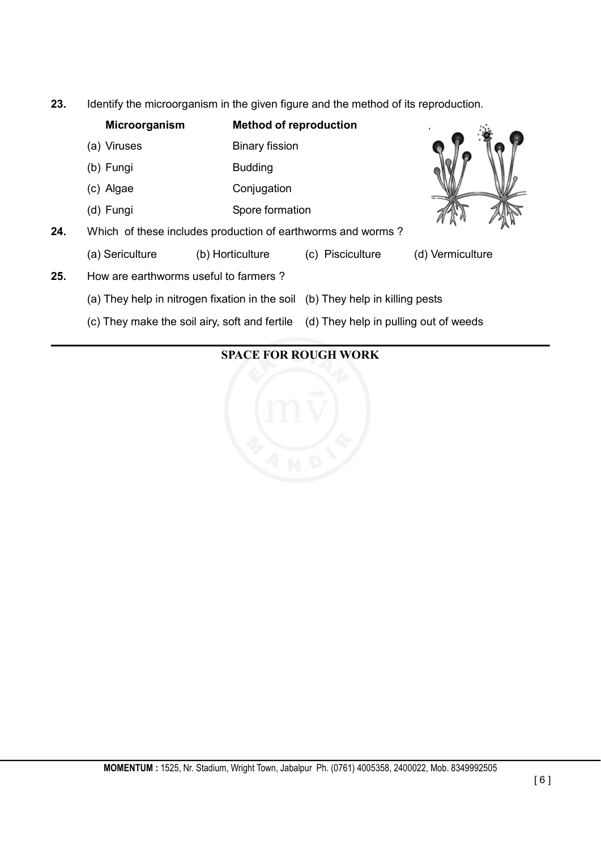**23.** Identify the microorganism in the given figure and the method of its reproduction.

|     | Microorganism                                                                 | <b>Method of reproduction</b> |                                       |                  |
|-----|-------------------------------------------------------------------------------|-------------------------------|---------------------------------------|------------------|
|     | (a) Viruses                                                                   | <b>Binary fission</b>         |                                       |                  |
|     | (b) Fungi                                                                     | <b>Budding</b>                |                                       |                  |
|     | (c) Algae                                                                     | Conjugation                   |                                       |                  |
|     | (d) Fungi                                                                     | Spore formation               |                                       |                  |
| 24. | Which of these includes production of earthworms and worms?                   |                               |                                       |                  |
|     | (a) Sericulture                                                               | (b) Horticulture              | (c) Pisciculture                      | (d) Vermiculture |
| 25. | How are earthworms useful to farmers?                                         |                               |                                       |                  |
|     | (a) They help in nitrogen fixation in the soil (b) They help in killing pests |                               |                                       |                  |
|     | (c) They make the soil airy, soft and fertile                                 |                               | (d) They help in pulling out of weeds |                  |
|     |                                                                               |                               |                                       |                  |

# **SPACE FOR ROUGH WORK**

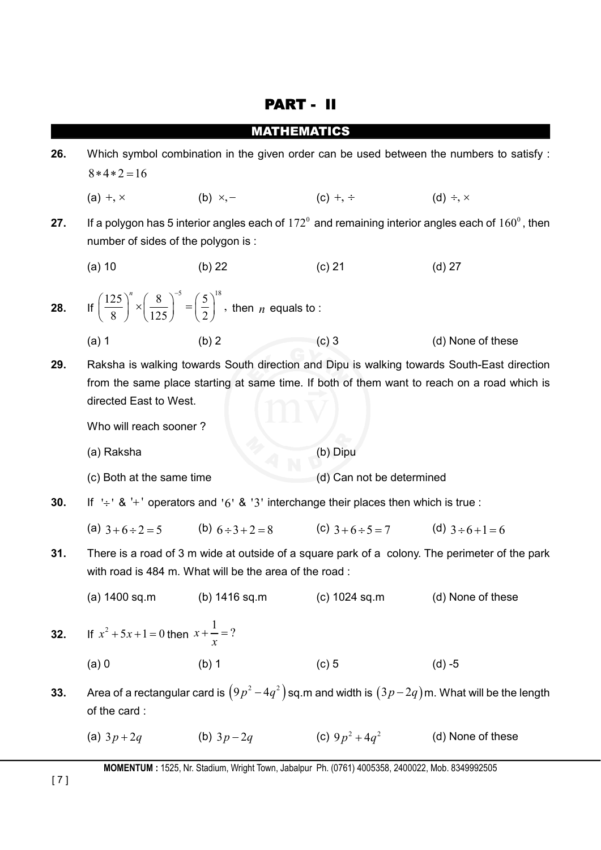|     | <b>PART -</b>                                                                                                                                                                                                       |                                                                                                                                      |                   |                                                                                                                     |  |  |  |
|-----|---------------------------------------------------------------------------------------------------------------------------------------------------------------------------------------------------------------------|--------------------------------------------------------------------------------------------------------------------------------------|-------------------|---------------------------------------------------------------------------------------------------------------------|--|--|--|
|     |                                                                                                                                                                                                                     | <b>MATHEMATICS</b>                                                                                                                   |                   |                                                                                                                     |  |  |  |
| 26. | Which symbol combination in the given order can be used between the numbers to satisfy :<br>$8*4*2=16$                                                                                                              |                                                                                                                                      |                   |                                                                                                                     |  |  |  |
|     | (a) $+$ , $\times$                                                                                                                                                                                                  | (b) $\times,-$                                                                                                                       | (c) +, $\div$     | (d) $\div$ , $\times$                                                                                               |  |  |  |
| 27. | number of sides of the polygon is :                                                                                                                                                                                 |                                                                                                                                      |                   | If a polygon has 5 interior angles each of $172^{\circ}$ and remaining interior angles each of $160^{\circ}$ , then |  |  |  |
|     | $(a)$ 10                                                                                                                                                                                                            | $(b)$ 22                                                                                                                             | $(c)$ 21          | $(d)$ 27                                                                                                            |  |  |  |
| 28. |                                                                                                                                                                                                                     | If $\left(\frac{125}{8}\right)^n \times \left(\frac{8}{125}\right)^{-5} = \left(\frac{5}{2}\right)^{18}$ , then <i>n</i> equals to : |                   |                                                                                                                     |  |  |  |
|     | $(a)$ 1                                                                                                                                                                                                             | (b) 2                                                                                                                                | $(c)$ 3           | (d) None of these                                                                                                   |  |  |  |
| 29. | Raksha is walking towards South direction and Dipu is walking towards South-East direction<br>from the same place starting at same time. If both of them want to reach on a road which is<br>directed East to West. |                                                                                                                                      |                   |                                                                                                                     |  |  |  |
|     | Who will reach sooner?                                                                                                                                                                                              |                                                                                                                                      |                   |                                                                                                                     |  |  |  |
|     | (a) Raksha                                                                                                                                                                                                          |                                                                                                                                      | (b) Dipu          |                                                                                                                     |  |  |  |
|     | (d) Can not be determined<br>(c) Both at the same time                                                                                                                                                              |                                                                                                                                      |                   |                                                                                                                     |  |  |  |
| 30. |                                                                                                                                                                                                                     | If $\div$ 8 $\div$ operators and '6' & '3' interchange their places then which is true:                                              |                   |                                                                                                                     |  |  |  |
|     |                                                                                                                                                                                                                     | (a) $3+6 \div 2 = 5$ (b) $6 \div 3 + 2 = 8$ (c) $3+6 \div 5 = 7$ (d) $3 \div 6 + 1 = 6$                                              |                   |                                                                                                                     |  |  |  |
| 31. | There is a road of 3 m wide at outside of a square park of a colony. The perimeter of the park<br>with road is 484 m. What will be the area of the road:                                                            |                                                                                                                                      |                   |                                                                                                                     |  |  |  |
|     | (a) 1400 sq.m                                                                                                                                                                                                       | (b) 1416 sq.m                                                                                                                        | $(c)$ 1024 sq.m   | (d) None of these                                                                                                   |  |  |  |
| 32. | If $x^2 + 5x + 1 = 0$ then $x + \frac{1}{x} = ?$                                                                                                                                                                    |                                                                                                                                      |                   |                                                                                                                     |  |  |  |
|     | $(a)$ 0                                                                                                                                                                                                             | (b) 1                                                                                                                                | $(c)$ 5           | $(d) -5$                                                                                                            |  |  |  |
| 33. | of the card:                                                                                                                                                                                                        |                                                                                                                                      |                   | Area of a rectangular card is $(9p^2-4q^2)$ sq.m and width is $(3p-2q)$ m. What will be the length                  |  |  |  |
|     | (a) $3p+2q$                                                                                                                                                                                                         | (b) $3p-2q$                                                                                                                          | (c) $9p^2 + 4q^2$ | (d) None of these                                                                                                   |  |  |  |

**MOMENTUM :** 1525, Nr. Stadium, Wright Town, Jabalpur Ph. (0761) 4005358, 2400022, Mob. 8349992505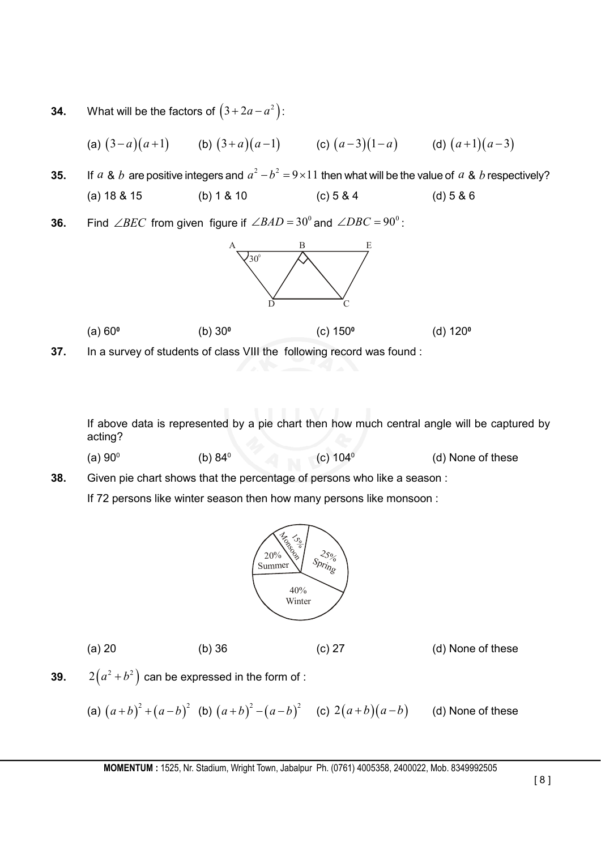**34.** What will be the factors of  $(3 + 2a - a^2)$ :

(a) 
$$
(3-a)(a+1)
$$
 (b)  $(3+a)(a-1)$  (c)  $(a-3)(1-a)$  (d)  $(a+1)(a-3)$ 

- **35.** If *a* & *b* are positive integers and  $a^2-b^2=9\times11$  then what will be the value of *a* & *b* respectively? (a) 18 & 15 (b) 1 & 10 (c) 5 & 4 (d) 5 & 6
- **36.** Find  $\angle BEC$  from given figure if  $\angle BAD = 30^\circ$  and  $\angle DBC = 90^\circ$ :



**37.** In a survey of students of class VIII the following record was found :

If above data is represented by a pie chart then how much central angle will be captured by acting?

(a)  $90^{\circ}$  (b)  $84^{\circ}$  (c)  $104^{\circ}$  (d) None of these

**38.** Given pie chart shows that the percentage of persons who like a season :

If 72 persons like winter season then how many persons like monsoon :



(a) 20 (b) 36 (c) 27 (d) None of these

**39.**  $2(a^2+b^2)$  can be expressed in the form of :

(a) 
$$
(a+b)^2 + (a-b)^2
$$
 (b)  $(a+b)^2 - (a-b)^2$  (c)  $2(a+b)(a-b)$  (d) None of these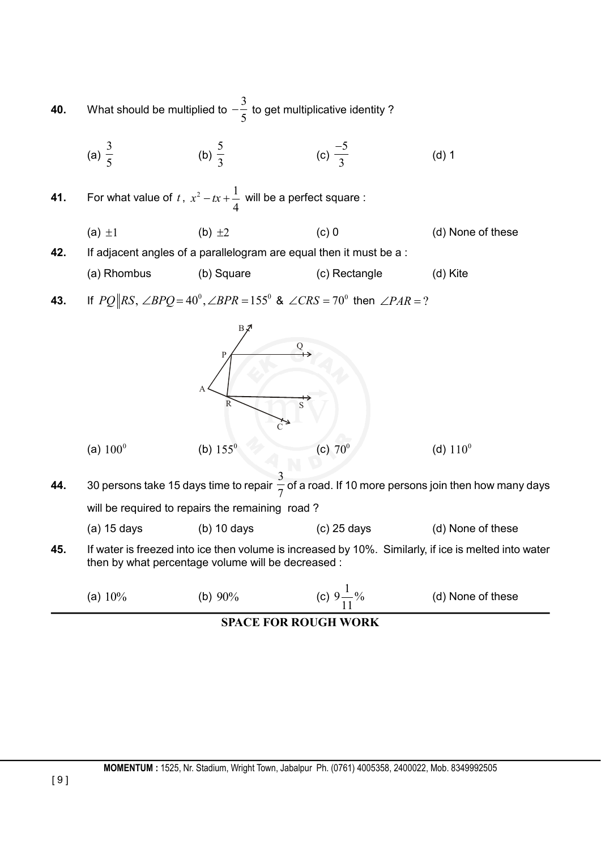**40.** What should be multiplied to 3 5  $-\frac{2}{5}$  to get multiplicative identity?

(a) 
$$
\frac{3}{5}
$$
 (b)  $\frac{5}{3}$  (c)  $\frac{-5}{3}$  (d) 1

**41.** For what value of  $t$ ,  $x^2 - tx + \frac{1}{x^2}$ 4  $x^2 - tx + \frac{1}{x}$  will be a perfect square :

(a) 
$$
\pm 1
$$
 (b)  $\pm 2$  (c) 0 (d) None of these  
42. If adjacent angles of a parallelogram are equal then it must be a :

(a) Rhombus (b) Square (c) Rectangle (d) Kite

**43.** If  $PQ \parallel RS$ ,  $\angle BPQ = 40^\circ$ ,  $\angle BPR = 155^\circ$  &  $\angle CRS = 70^\circ$  then  $\angle PAR = ?$ 



**44.** 30 persons take 15 days time to repair 3  $\overline{7}$  of a road. If 10 more persons join then how many days will be required to repairs the remaining road?

| $(a)$ 15 days<br>(b) $10 \text{ days}$<br>$(c)$ 25 days | (d) None of these |
|---------------------------------------------------------|-------------------|
|---------------------------------------------------------|-------------------|

**45.** If water is freezed into ice then volume is increased by 10%. Similarly, if ice is melted into water then by what percentage volume will be decreased :

| 10% | $90\%$ | $\mathbf{0}$ | (d) None of these |
|-----|--------|--------------|-------------------|
| (a) | (b)    | .U           |                   |

**SPACE FOR ROUGH WORK**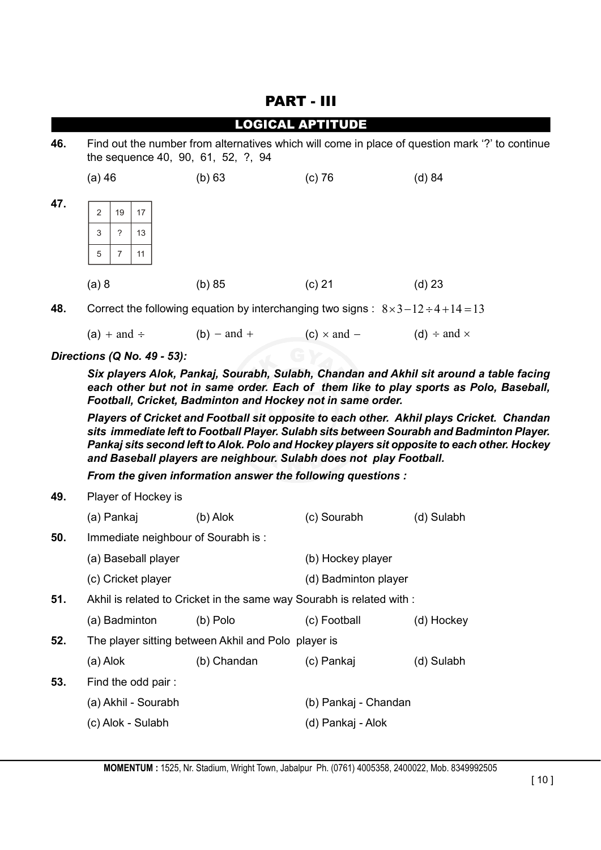## PART - III

|     |                |                                                                                                                                       |    |                                                                                                | <b>LOGICAL APTITUDE</b> |          |  |
|-----|----------------|---------------------------------------------------------------------------------------------------------------------------------------|----|------------------------------------------------------------------------------------------------|-------------------------|----------|--|
| 46. |                | Find out the number from alternatives which will come in place of question mark '?' to continue<br>the sequence 40, 90, 61, 52, ?, 94 |    |                                                                                                |                         |          |  |
|     | (a) 46         |                                                                                                                                       |    | (b) 63                                                                                         | $(c)$ 76                | (d) 84   |  |
| 47. | $\overline{2}$ | 19                                                                                                                                    | 17 |                                                                                                |                         |          |  |
|     | 3              | ?                                                                                                                                     | 13 |                                                                                                |                         |          |  |
|     | 5              |                                                                                                                                       | 11 |                                                                                                |                         |          |  |
|     | (a) 8          |                                                                                                                                       |    | (b) 85                                                                                         | (c) 21                  | $(d)$ 23 |  |
| 48. |                |                                                                                                                                       |    | Correct the following equation by interchanging two signs : $8 \times 3 - 12 \div 4 + 14 = 13$ |                         |          |  |

(a) + and  $\div$  (b) - and + (c)  $\times$  and - (d)  $\div$  and  $\times$ 

*Directions (Q No. 49 - 53):*

*Six players Alok, Pankaj, Sourabh, Sulabh, Chandan and Akhil sit around a table facing each other but not in same order. Each of them like to play sports as Polo, Baseball, Football, Cricket, Badminton and Hockey not in same order.*

*Players of Cricket and Football sit opposite to each other. Akhil plays Cricket. Chandan sits immediate left to Football Player. Sulabh sits between Sourabh and Badminton Player. Pankaj sits second left to Alok. Polo and Hockey players sit opposite to each other. Hockey and Baseball players are neighbour. Sulabh does not play Football.*

*From the given information answer the following questions :*

**49.** Player of Hockey is (a) Pankaj (b) Alok (c) Sourabh (d) Sulabh **50.** Immediate neighbour of Sourabh is : (a) Baseball player (b) Hockey player (c) Cricket player (d) Badminton player **51.** Akhil is related to Cricket in the same way Sourabh is related with : (a) Badminton (b) Polo (c) Football (d) Hockey **52.** The player sitting between Akhil and Polo player is (a) Alok (b) Chandan (c) Pankaj (d) Sulabh **53.** Find the odd pair : (a) Akhil - Sourabh (b) Pankaj - Chandan (c) Alok - Sulabh (d) Pankaj - Alok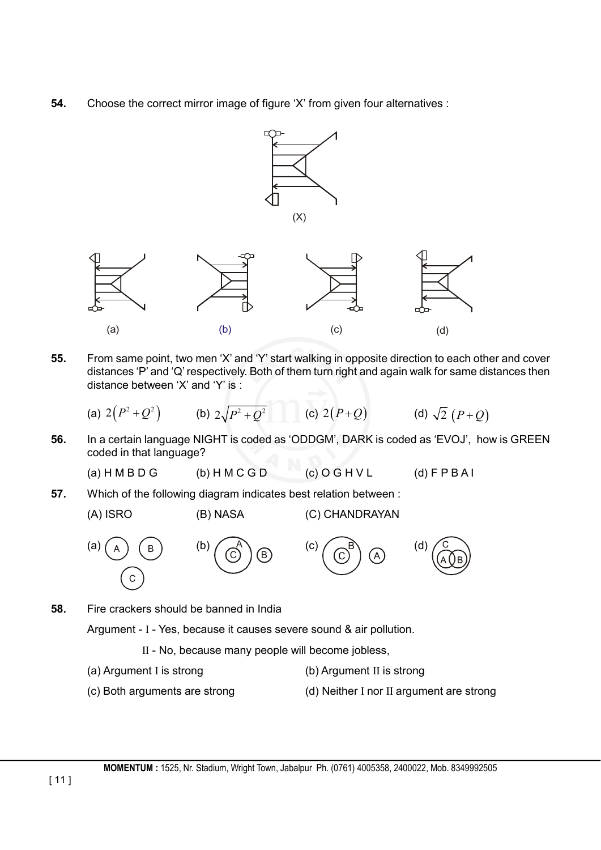**54.** Choose the correct mirror image of figure 'X' from given four alternatives :



- **55.** From same point, two men 'X' and 'Y' start walking in opposite direction to each other and cover distances 'P' and 'Q' respectively. Both of them turn right and again walk for same distances then distance between 'X' and 'Y' is :
	- (a)  $2(P^2+Q^2)$  (b)  $2\sqrt{P^2+Q^2}$  (c)  $2(P+Q)$  (d)  $\sqrt{2}(P+Q)$
- **56.** In a certain language NIGHT is coded as 'ODDGM', DARK is coded as 'EVOJ', how is GREEN coded in that language?
	- (a)  $H M B D G$  (b)  $H M C G D$  (c)  $O G H V L$  (d)  $F P B A I$
- **57.** Which of the following diagram indicates best relation between :
	-

(A) ISRO (B) NASA (C) CHANDRAYAN









**58.** Fire crackers should be banned in India

Argument - I - Yes, because it causes severe sound & air pollution.

- II No, because many people will become jobless,
- (a) Argument I is strong (b) Argument II is strong
	-
- 
- (c) Both arguments are strong (d) Neither I nor II argument are strong